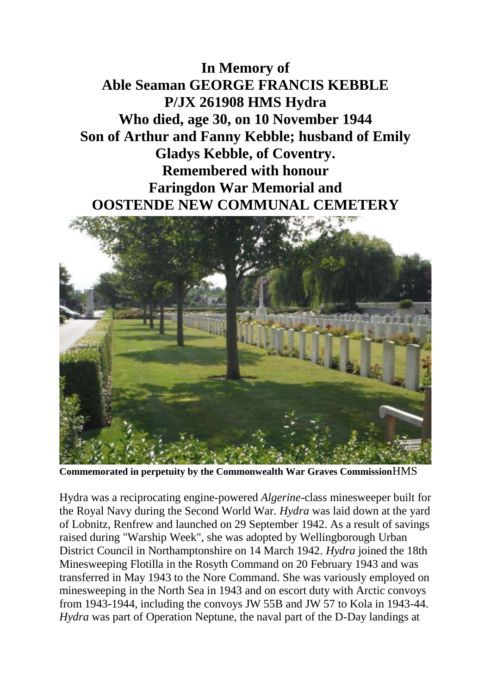**In Memory of Able Seaman GEORGE FRANCIS KEBBLE P/JX 261908 HMS Hydra Who died, age 30, on 10 November 1944 Son of Arthur and Fanny Kebble; husband of Emily Gladys Kebble, of Coventry. Remembered with honour Faringdon War Memorial and OOSTENDE NEW COMMUNAL CEMETERY**



**Commemorated in perpetuity by the Commonwealth War Graves Commission**HMS

Hydra was a reciprocating engine-powered *Algerine*-class minesweeper built for the Royal Navy during the Second World War. *Hydra* was laid down at the yard of Lobnitz, Renfrew and launched on 29 September 1942. As a result of savings raised during "Warship Week", she was adopted by Wellingborough Urban District Council in Northamptonshire on 14 March 1942. *Hydra* joined the 18th Minesweeping Flotilla in the Rosyth Command on 20 February 1943 and was transferred in May 1943 to the Nore Command. She was variously employed on minesweeping in the North Sea in 1943 and on escort duty with Arctic convoys from 1943-1944, including the convoys JW 55B and JW 57 to Kola in 1943-44. *Hydra* was part of Operation Neptune, the naval part of the D-Day landings at